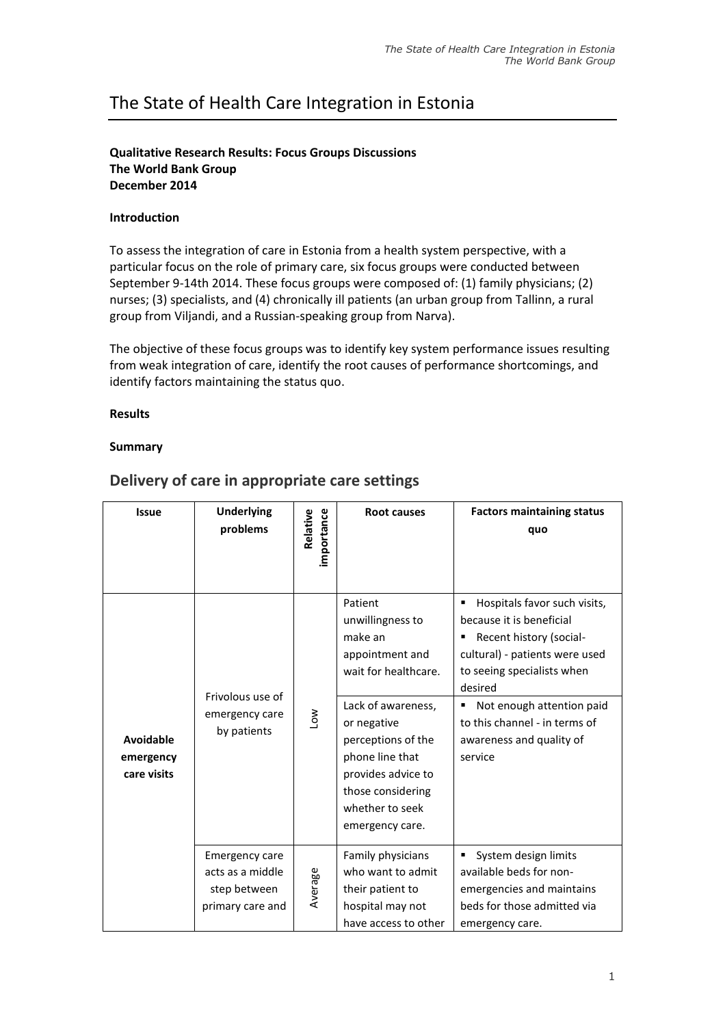# The State of Health Care Integration in Estonia

## **Qualitative Research Results: Focus Groups Discussions The World Bank Group December 2014**

## **Introduction**

To assess the integration of care in Estonia from a health system perspective, with a particular focus on the role of primary care, six focus groups were conducted between September 9-14th 2014. These focus groups were composed of: (1) family physicians; (2) nurses; (3) specialists, and (4) chronically ill patients (an urban group from Tallinn, a rural group from Viljandi, and a Russian-speaking group from Narva).

The objective of these focus groups was to identify key system performance issues resulting from weak integration of care, identify the root causes of performance shortcomings, and identify factors maintaining the status quo.

#### **Results**

## **Summary**

| <b>Issue</b>                          | <b>Underlying</b><br>problems                                                 | importance<br>Relative | <b>Root causes</b>                                                                                                                                                                                                                               | <b>Factors maintaining status</b><br>quo                                                                                                                                                                                                                                 |
|---------------------------------------|-------------------------------------------------------------------------------|------------------------|--------------------------------------------------------------------------------------------------------------------------------------------------------------------------------------------------------------------------------------------------|--------------------------------------------------------------------------------------------------------------------------------------------------------------------------------------------------------------------------------------------------------------------------|
| Avoidable<br>emergency<br>care visits | Frivolous use of<br>emergency care<br>by patients                             | Low                    | Patient<br>unwillingness to<br>make an<br>appointment and<br>wait for healthcare.<br>Lack of awareness,<br>or negative<br>perceptions of the<br>phone line that<br>provides advice to<br>those considering<br>whether to seek<br>emergency care. | Hospitals favor such visits,<br>because it is beneficial<br>Recent history (social-<br>cultural) - patients were used<br>to seeing specialists when<br>desired<br>Not enough attention paid<br>٠<br>to this channel - in terms of<br>awareness and quality of<br>service |
|                                       | <b>Emergency care</b><br>acts as a middle<br>step between<br>primary care and | Average                | Family physicians<br>who want to admit<br>their patient to<br>hospital may not<br>have access to other                                                                                                                                           | System design limits<br>available beds for non-<br>emergencies and maintains<br>beds for those admitted via<br>emergency care.                                                                                                                                           |

## **Delivery of care in appropriate care settings**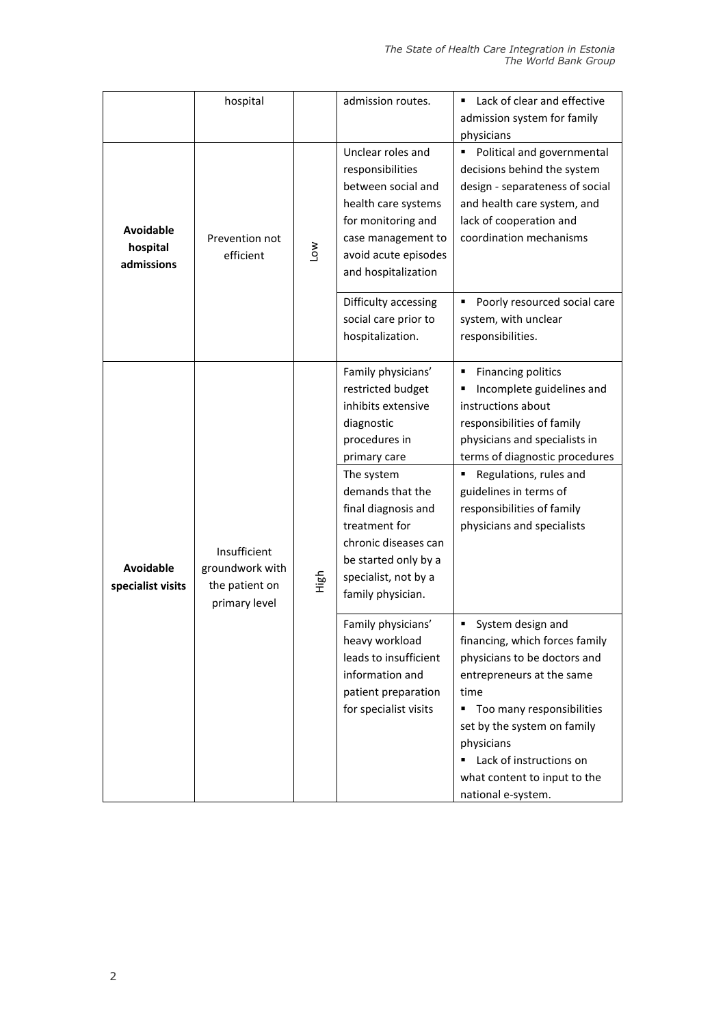|                                            | hospital                                                           |            | admission routes.                                                                                                                                                                                                                                                                   | Lack of clear and effective<br>٠<br>admission system for family<br>physicians                                                                                                                                                                                                               |
|--------------------------------------------|--------------------------------------------------------------------|------------|-------------------------------------------------------------------------------------------------------------------------------------------------------------------------------------------------------------------------------------------------------------------------------------|---------------------------------------------------------------------------------------------------------------------------------------------------------------------------------------------------------------------------------------------------------------------------------------------|
| <b>Avoidable</b><br>hospital<br>admissions | Prevention not<br>efficient                                        | <b>NOT</b> | Unclear roles and<br>responsibilities<br>between social and<br>health care systems<br>for monitoring and<br>case management to<br>avoid acute episodes<br>and hospitalization                                                                                                       | Political and governmental<br>decisions behind the system<br>design - separateness of social<br>and health care system, and<br>lack of cooperation and<br>coordination mechanisms                                                                                                           |
|                                            |                                                                    |            | Difficulty accessing<br>social care prior to<br>hospitalization.                                                                                                                                                                                                                    | Poorly resourced social care<br>system, with unclear<br>responsibilities.                                                                                                                                                                                                                   |
| <b>Avoidable</b><br>specialist visits      | Insufficient<br>groundwork with<br>the patient on<br>primary level | High       | Family physicians'<br>restricted budget<br>inhibits extensive<br>diagnostic<br>procedures in<br>primary care<br>The system<br>demands that the<br>final diagnosis and<br>treatment for<br>chronic diseases can<br>be started only by a<br>specialist, not by a<br>family physician. | ٠<br>Financing politics<br>Incomplete guidelines and<br>instructions about<br>responsibilities of family<br>physicians and specialists in<br>terms of diagnostic procedures<br>Regulations, rules and<br>guidelines in terms of<br>responsibilities of family<br>physicians and specialists |
|                                            |                                                                    |            | Family physicians'<br>heavy workload<br>leads to insufficient<br>information and<br>patient preparation<br>for specialist visits                                                                                                                                                    | System design and<br>financing, which forces family<br>physicians to be doctors and<br>entrepreneurs at the same<br>time<br>Too many responsibilities<br>п<br>set by the system on family<br>physicians<br>Lack of instructions on<br>what content to input to the<br>national e-system.    |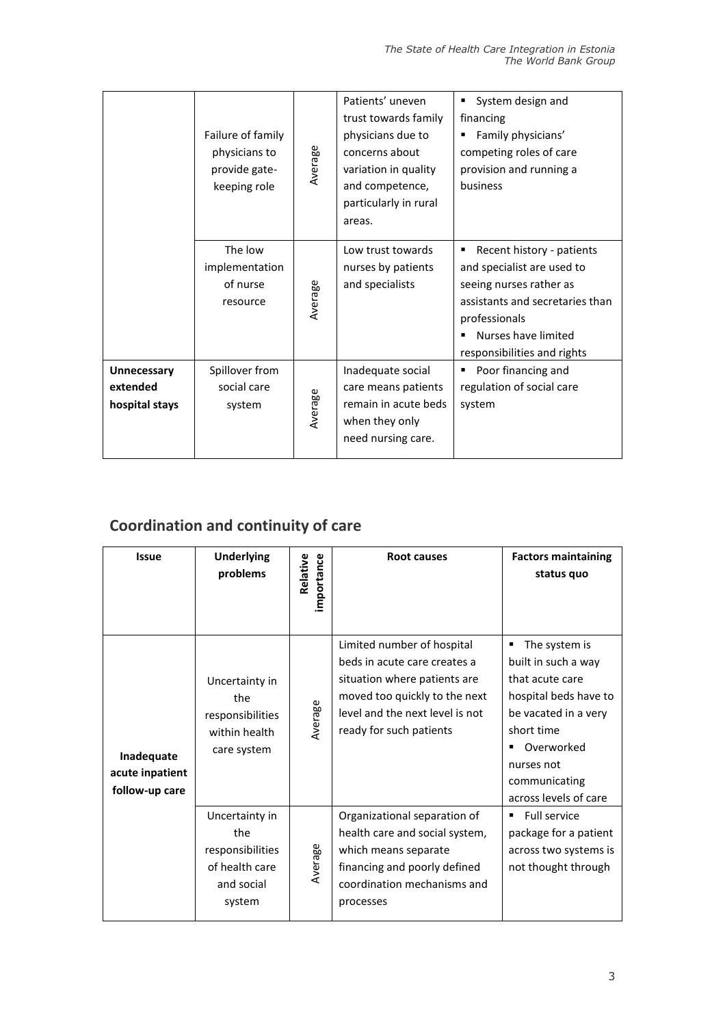|                                           | Failure of family<br>physicians to<br>provide gate-<br>keeping role | Average | Patients' uneven<br>trust towards family<br>physicians due to<br>concerns about<br>variation in quality<br>and competence,<br>particularly in rural<br>areas. | System design and<br>financing<br>Family physicians'<br>competing roles of care<br>provision and running a<br>business                                                                       |
|-------------------------------------------|---------------------------------------------------------------------|---------|---------------------------------------------------------------------------------------------------------------------------------------------------------------|----------------------------------------------------------------------------------------------------------------------------------------------------------------------------------------------|
|                                           | The low<br>implementation<br>of nurse<br>resource                   | Average | Low trust towards<br>nurses by patients<br>and specialists                                                                                                    | Recent history - patients<br>and specialist are used to<br>seeing nurses rather as<br>assistants and secretaries than<br>professionals<br>Nurses have limited<br>responsibilities and rights |
| Unnecessary<br>extended<br>hospital stays | Spillover from<br>social care<br>system                             | Average | Inadequate social<br>care means patients<br>remain in acute beds<br>when they only<br>need nursing care.                                                      | Poor financing and<br>regulation of social care<br>system                                                                                                                                    |

# **Coordination and continuity of care**

| <b>Issue</b>                                    | <b>Underlying</b><br>problems                                                       | importance<br>Relative | <b>Root causes</b>                                                                                                                                                                        | <b>Factors maintaining</b><br>status quo                                                                                                                                                     |
|-------------------------------------------------|-------------------------------------------------------------------------------------|------------------------|-------------------------------------------------------------------------------------------------------------------------------------------------------------------------------------------|----------------------------------------------------------------------------------------------------------------------------------------------------------------------------------------------|
| Inadequate<br>acute inpatient<br>follow-up care | Uncertainty in<br>the<br>responsibilities<br>within health<br>care system           | Average                | Limited number of hospital<br>beds in acute care creates a<br>situation where patients are<br>moved too quickly to the next<br>level and the next level is not<br>ready for such patients | The system is<br>built in such a way<br>that acute care<br>hospital beds have to<br>be vacated in a very<br>short time<br>Overworked<br>nurses not<br>communicating<br>across levels of care |
|                                                 | Uncertainty in<br>the<br>responsibilities<br>of health care<br>and social<br>system | Average                | Organizational separation of<br>health care and social system,<br>which means separate<br>financing and poorly defined<br>coordination mechanisms and<br>processes                        | <b>Full service</b><br>٠<br>package for a patient<br>across two systems is<br>not thought through                                                                                            |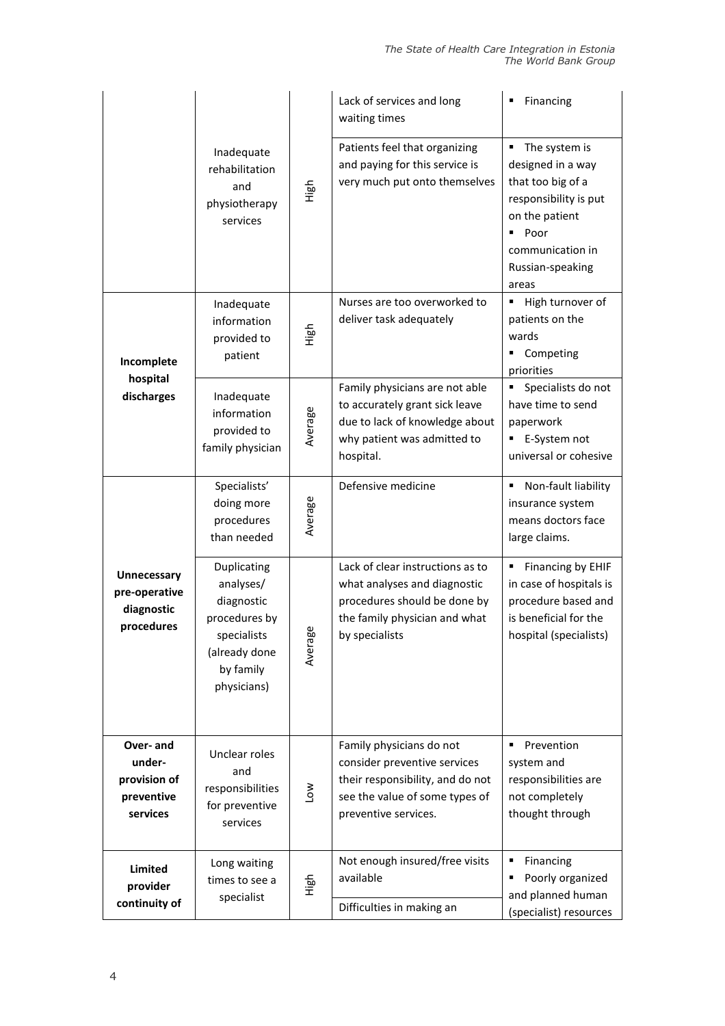|                                                                 | Inadequate<br>rehabilitation<br>High<br>and<br>physiotherapy<br>services                                            |             | Lack of services and long<br>waiting times                                                                                                             | Financing                                                                                                                                                        |
|-----------------------------------------------------------------|---------------------------------------------------------------------------------------------------------------------|-------------|--------------------------------------------------------------------------------------------------------------------------------------------------------|------------------------------------------------------------------------------------------------------------------------------------------------------------------|
|                                                                 |                                                                                                                     |             | Patients feel that organizing<br>and paying for this service is<br>very much put onto themselves                                                       | The system is<br>٠<br>designed in a way<br>that too big of a<br>responsibility is put<br>on the patient<br>Poor<br>communication in<br>Russian-speaking<br>areas |
| Incomplete<br>hospital<br>discharges                            | Inadequate<br>information<br>provided to<br>patient                                                                 | High        | Nurses are too overworked to<br>deliver task adequately                                                                                                | High turnover of<br>patients on the<br>wards<br>Competing<br>priorities                                                                                          |
|                                                                 | Inadequate<br>information<br>provided to<br>family physician                                                        | Average     | Family physicians are not able<br>to accurately grant sick leave<br>due to lack of knowledge about<br>why patient was admitted to<br>hospital.         | Specialists do not<br>have time to send<br>paperwork<br>E-System not<br>universal or cohesive                                                                    |
|                                                                 | Specialists'<br>doing more<br>procedures<br>than needed                                                             | Average     | Defensive medicine                                                                                                                                     | Non-fault liability<br>٠<br>insurance system<br>means doctors face<br>large claims.                                                                              |
| <b>Unnecessary</b><br>pre-operative<br>diagnostic<br>procedures | Duplicating<br>analyses/<br>diagnostic<br>procedures by<br>specialists<br>(already done<br>by family<br>physicians) | æ<br>Averag | Lack of clear instructions as to<br>what analyses and diagnostic<br>procedures should be done by<br>the family physician and what<br>by specialists    | Financing by EHIF<br>in case of hospitals is<br>procedure based and<br>is beneficial for the<br>hospital (specialists)                                           |
| Over-and<br>under-<br>provision of<br>preventive<br>services    | Unclear roles<br>and<br>responsibilities<br>for preventive<br>services                                              | Low         | Family physicians do not<br>consider preventive services<br>their responsibility, and do not<br>see the value of some types of<br>preventive services. | Prevention<br>٠<br>system and<br>responsibilities are<br>not completely<br>thought through                                                                       |
| <b>Limited</b><br>provider<br>continuity of                     | Long waiting<br>times to see a<br>specialist                                                                        | High        | Not enough insured/free visits<br>available<br>Difficulties in making an                                                                               | Financing<br>٠<br>Poorly organized<br>٠<br>and planned human<br>(specialist) resources                                                                           |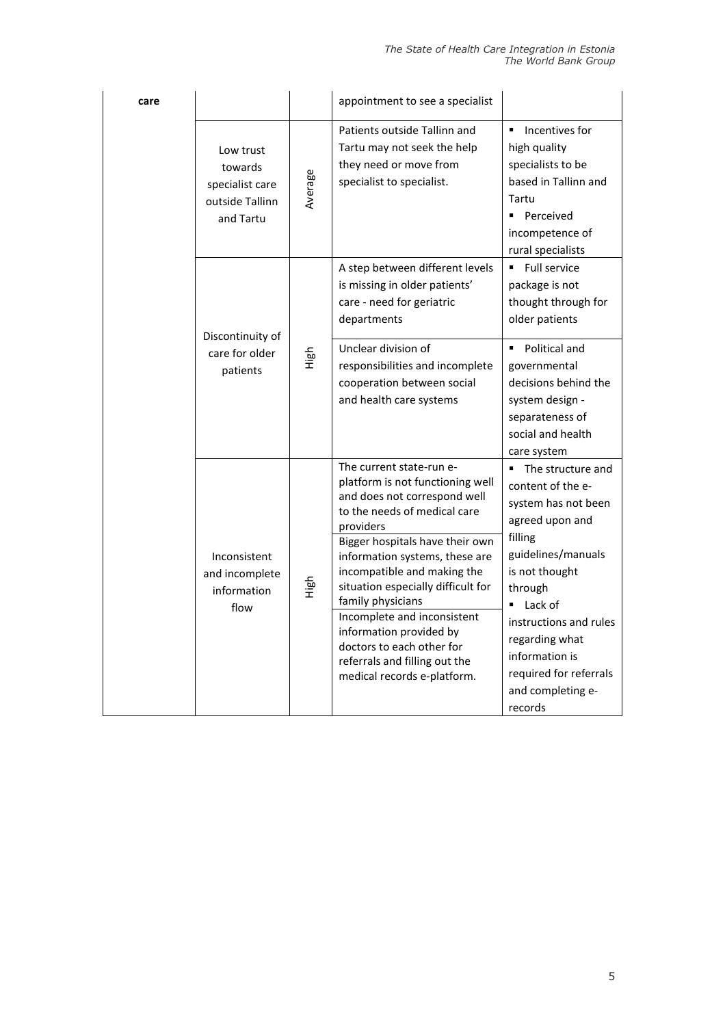| care |                                                                         |         | appointment to see a specialist                                                                                                                                                                                                                                                                                                                                                                                                                                 |                                                                                                                                                                                                                                                                                                    |
|------|-------------------------------------------------------------------------|---------|-----------------------------------------------------------------------------------------------------------------------------------------------------------------------------------------------------------------------------------------------------------------------------------------------------------------------------------------------------------------------------------------------------------------------------------------------------------------|----------------------------------------------------------------------------------------------------------------------------------------------------------------------------------------------------------------------------------------------------------------------------------------------------|
|      | Low trust<br>towards<br>specialist care<br>outside Tallinn<br>and Tartu | Average | Patients outside Tallinn and<br>Tartu may not seek the help<br>they need or move from<br>specialist to specialist.                                                                                                                                                                                                                                                                                                                                              | Incentives for<br>٠<br>high quality<br>specialists to be<br>based in Tallinn and<br>Tartu<br>• Perceived<br>incompetence of<br>rural specialists                                                                                                                                                   |
|      | Discontinuity of<br>care for older<br>patients                          | High    | A step between different levels<br>is missing in older patients'<br>care - need for geriatric<br>departments                                                                                                                                                                                                                                                                                                                                                    | Full service<br>package is not<br>thought through for<br>older patients                                                                                                                                                                                                                            |
|      |                                                                         |         | Unclear division of<br>responsibilities and incomplete<br>cooperation between social<br>and health care systems                                                                                                                                                                                                                                                                                                                                                 | Political and<br>$\blacksquare$<br>governmental<br>decisions behind the<br>system design -<br>separateness of<br>social and health<br>care system                                                                                                                                                  |
|      | Inconsistent<br>and incomplete<br>information<br>flow                   | High    | The current state-run e-<br>platform is not functioning well<br>and does not correspond well<br>to the needs of medical care<br>providers<br>Bigger hospitals have their own<br>information systems, these are<br>incompatible and making the<br>situation especially difficult for<br>family physicians<br>Incomplete and inconsistent<br>information provided by<br>doctors to each other for<br>referrals and filling out the<br>medical records e-platform. | ■ The structure and<br>content of the e-<br>system has not been<br>agreed upon and<br>filling<br>guidelines/manuals<br>is not thought<br>through<br>$\blacksquare$ Lack of<br>instructions and rules<br>regarding what<br>information is<br>required for referrals<br>and completing e-<br>records |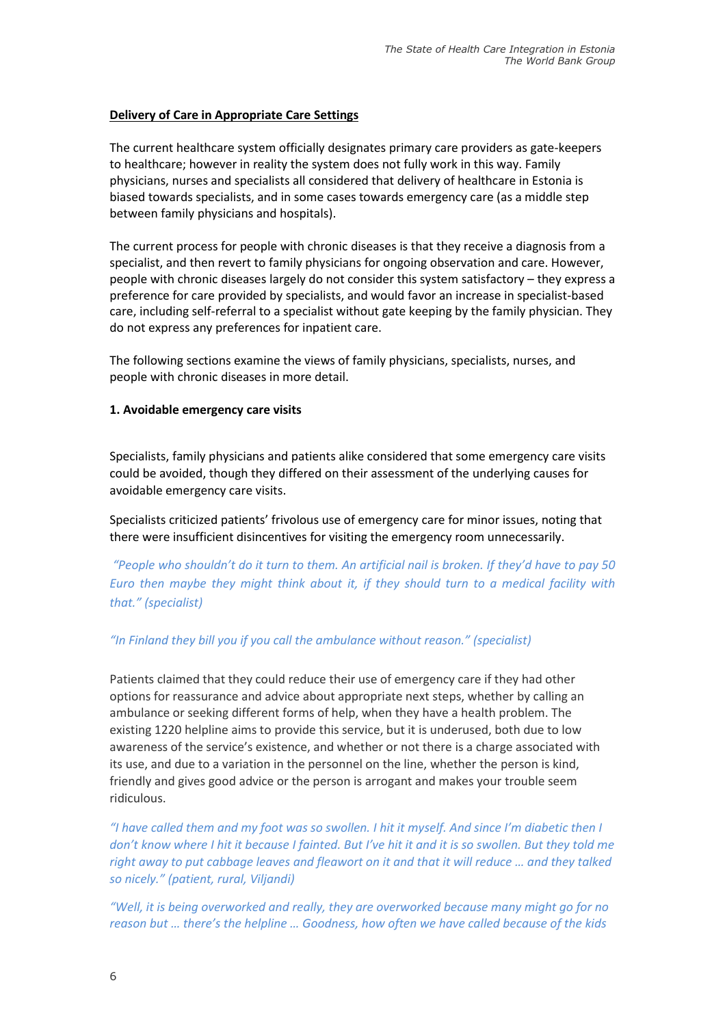## **Delivery of Care in Appropriate Care Settings**

The current healthcare system officially designates primary care providers as gate-keepers to healthcare; however in reality the system does not fully work in this way. Family physicians, nurses and specialists all considered that delivery of healthcare in Estonia is biased towards specialists, and in some cases towards emergency care (as a middle step between family physicians and hospitals).

The current process for people with chronic diseases is that they receive a diagnosis from a specialist, and then revert to family physicians for ongoing observation and care. However, people with chronic diseases largely do not consider this system satisfactory – they express a preference for care provided by specialists, and would favor an increase in specialist-based care, including self-referral to a specialist without gate keeping by the family physician. They do not express any preferences for inpatient care.

The following sections examine the views of family physicians, specialists, nurses, and people with chronic diseases in more detail.

#### **1. Avoidable emergency care visits**

Specialists, family physicians and patients alike considered that some emergency care visits could be avoided, though they differed on their assessment of the underlying causes for avoidable emergency care visits.

Specialists criticized patients' frivolous use of emergency care for minor issues, noting that there were insufficient disincentives for visiting the emergency room unnecessarily.

*"People who shouldn't do it turn to them. An artificial nail is broken. If they'd have to pay 50 Euro then maybe they might think about it, if they should turn to a medical facility with that." (specialist)*

#### *"In Finland they bill you if you call the ambulance without reason." (specialist)*

Patients claimed that they could reduce their use of emergency care if they had other options for reassurance and advice about appropriate next steps, whether by calling an ambulance or seeking different forms of help, when they have a health problem. The existing 1220 helpline aims to provide this service, but it is underused, both due to low awareness of the service's existence, and whether or not there is a charge associated with its use, and due to a variation in the personnel on the line, whether the person is kind, friendly and gives good advice or the person is arrogant and makes your trouble seem ridiculous.

*"I have called them and my foot was so swollen. I hit it myself. And since I'm diabetic then I don't know where I hit it because I fainted. But I've hit it and it is so swollen. But they told me right away to put cabbage leaves and fleawort on it and that it will reduce … and they talked so nicely." (patient, rural, Viljandi)*

*"Well, it is being overworked and really, they are overworked because many might go for no reason but … there's the helpline … Goodness, how often we have called because of the kids*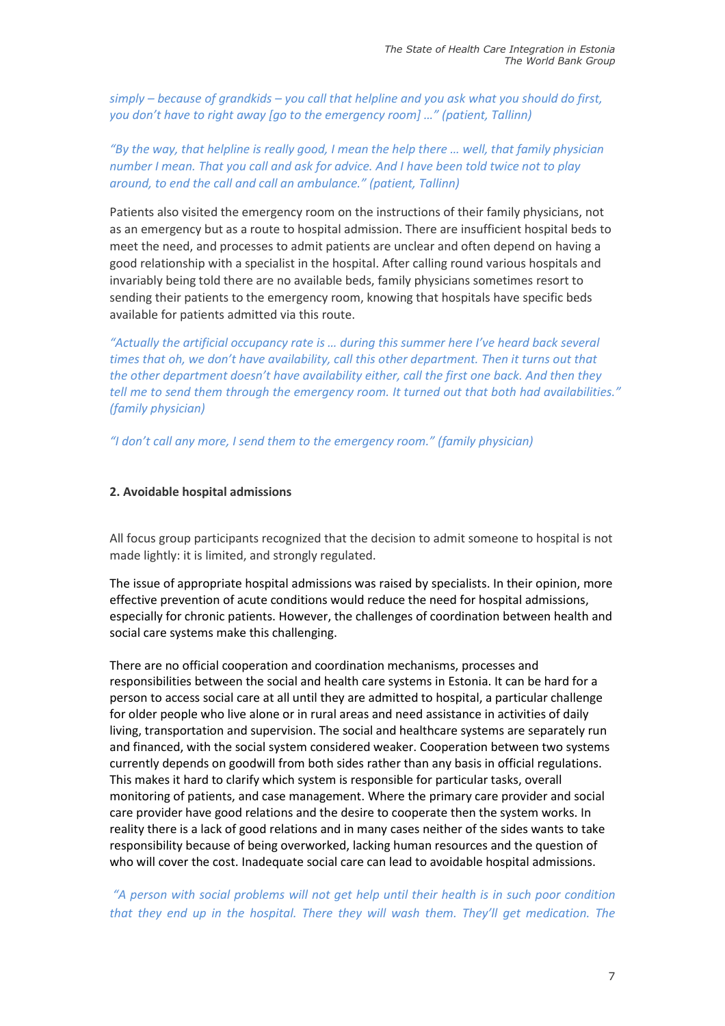*simply – because of grandkids – you call that helpline and you ask what you should do first, you don't have to right away [go to the emergency room] …" (patient, Tallinn)*

## *"By the way, that helpline is really good, I mean the help there … well, that family physician number I mean. That you call and ask for advice. And I have been told twice not to play around, to end the call and call an ambulance." (patient, Tallinn)*

Patients also visited the emergency room on the instructions of their family physicians, not as an emergency but as a route to hospital admission. There are insufficient hospital beds to meet the need, and processes to admit patients are unclear and often depend on having a good relationship with a specialist in the hospital. After calling round various hospitals and invariably being told there are no available beds, family physicians sometimes resort to sending their patients to the emergency room, knowing that hospitals have specific beds available for patients admitted via this route.

*"Actually the artificial occupancy rate is … during this summer here I've heard back several times that oh, we don't have availability, call this other department. Then it turns out that the other department doesn't have availability either, call the first one back. And then they tell me to send them through the emergency room. It turned out that both had availabilities." (family physician)*

*"I don't call any more, I send them to the emergency room." (family physician)*

#### **2. Avoidable hospital admissions**

All focus group participants recognized that the decision to admit someone to hospital is not made lightly: it is limited, and strongly regulated.

The issue of appropriate hospital admissions was raised by specialists. In their opinion, more effective prevention of acute conditions would reduce the need for hospital admissions, especially for chronic patients. However, the challenges of coordination between health and social care systems make this challenging.

There are no official cooperation and coordination mechanisms, processes and responsibilities between the social and health care systems in Estonia. It can be hard for a person to access social care at all until they are admitted to hospital, a particular challenge for older people who live alone or in rural areas and need assistance in activities of daily living, transportation and supervision. The social and healthcare systems are separately run and financed, with the social system considered weaker. Cooperation between two systems currently depends on goodwill from both sides rather than any basis in official regulations. This makes it hard to clarify which system is responsible for particular tasks, overall monitoring of patients, and case management. Where the primary care provider and social care provider have good relations and the desire to cooperate then the system works. In reality there is a lack of good relations and in many cases neither of the sides wants to take responsibility because of being overworked, lacking human resources and the question of who will cover the cost. Inadequate social care can lead to avoidable hospital admissions.

## *"A person with social problems will not get help until their health is in such poor condition that they end up in the hospital. There they will wash them. They'll get medication. The*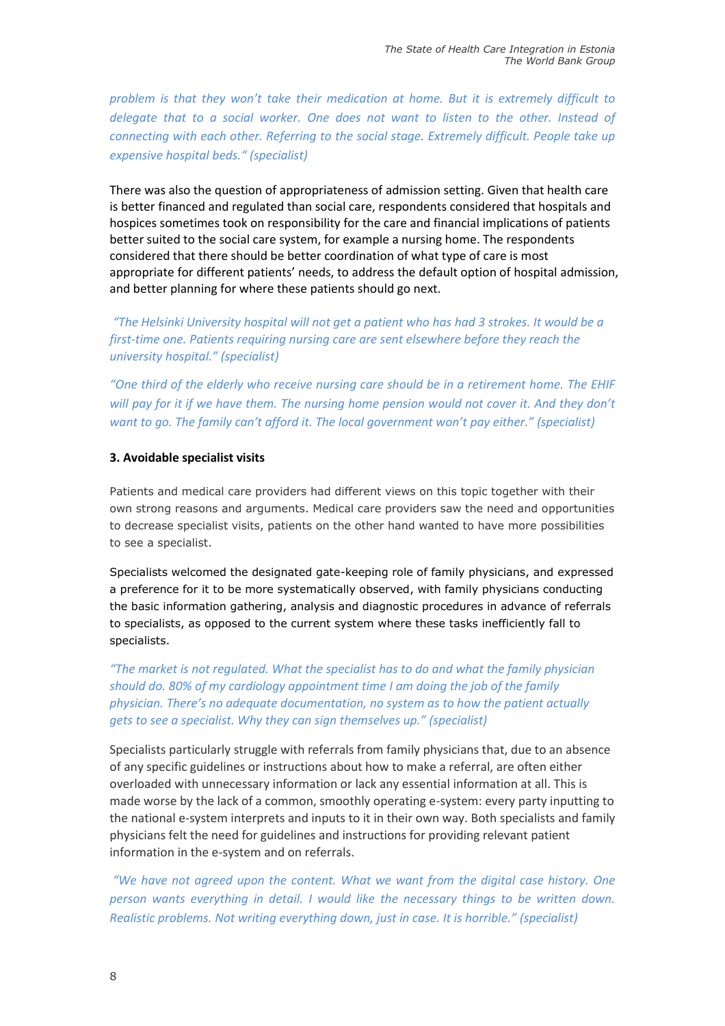*problem is that they won't take their medication at home. But it is extremely difficult to delegate that to a social worker. One does not want to listen to the other. Instead of connecting with each other. Referring to the social stage. Extremely difficult. People take up expensive hospital beds." (specialist)*

There was also the question of appropriateness of admission setting. Given that health care is better financed and regulated than social care, respondents considered that hospitals and hospices sometimes took on responsibility for the care and financial implications of patients better suited to the social care system, for example a nursing home. The respondents considered that there should be better coordination of what type of care is most appropriate for different patients' needs, to address the default option of hospital admission, and better planning for where these patients should go next.

*"The Helsinki University hospital will not get a patient who has had 3 strokes. It would be a first-time one. Patients requiring nursing care are sent elsewhere before they reach the university hospital." (specialist)*

*"One third of the elderly who receive nursing care should be in a retirement home. The EHIF*  will pay for it if we have them. The nursing home pension would not cover it. And they don't *want to go. The family can't afford it. The local government won't pay either." (specialist)*

## **3. Avoidable specialist visits**

Patients and medical care providers had different views on this topic together with their own strong reasons and arguments. Medical care providers saw the need and opportunities to decrease specialist visits, patients on the other hand wanted to have more possibilities to see a specialist.

Specialists welcomed the designated gate-keeping role of family physicians, and expressed a preference for it to be more systematically observed, with family physicians conducting the basic information gathering, analysis and diagnostic procedures in advance of referrals to specialists, as opposed to the current system where these tasks inefficiently fall to specialists.

*"The market is not regulated. What the specialist has to do and what the family physician should do. 80% of my cardiology appointment time I am doing the job of the family physician. There's no adequate documentation, no system as to how the patient actually gets to see a specialist. Why they can sign themselves up." (specialist)*

Specialists particularly struggle with referrals from family physicians that, due to an absence of any specific guidelines or instructions about how to make a referral, are often either overloaded with unnecessary information or lack any essential information at all. This is made worse by the lack of a common, smoothly operating e-system: every party inputting to the national e-system interprets and inputs to it in their own way. Both specialists and family physicians felt the need for guidelines and instructions for providing relevant patient information in the e-system and on referrals.

*"We have not agreed upon the content. What we want from the digital case history. One person wants everything in detail. I would like the necessary things to be written down. Realistic problems. Not writing everything down, just in case. It is horrible." (specialist)*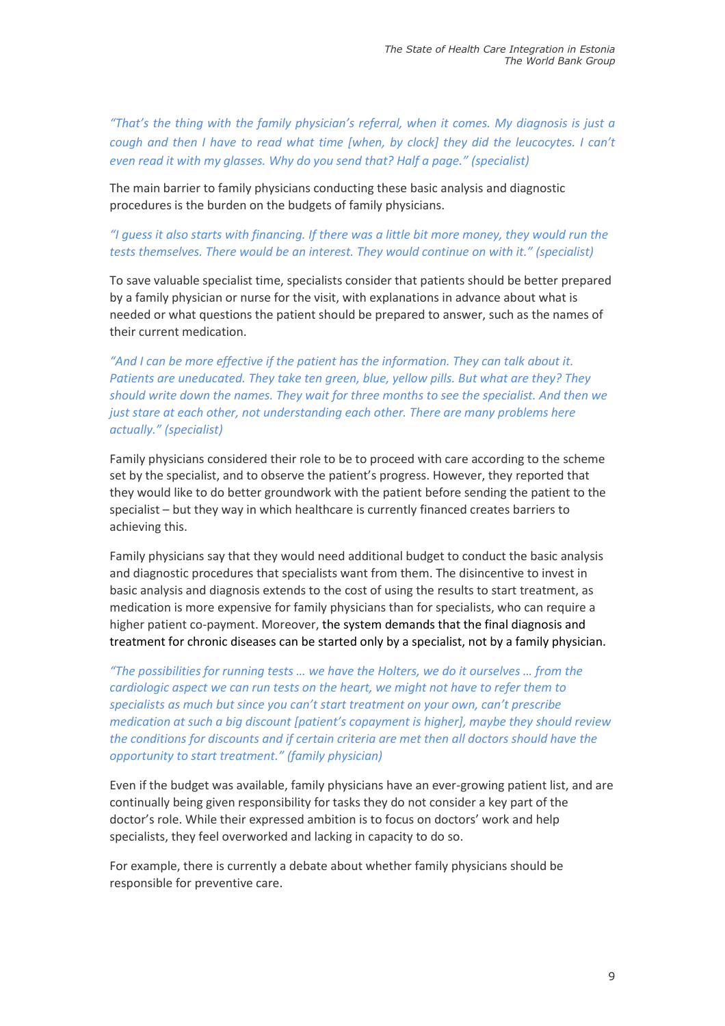*"That's the thing with the family physician's referral, when it comes. My diagnosis is just a cough and then I have to read what time [when, by clock] they did the leucocytes. I can't even read it with my glasses. Why do you send that? Half a page." (specialist)*

The main barrier to family physicians conducting these basic analysis and diagnostic procedures is the burden on the budgets of family physicians.

## *"I guess it also starts with financing. If there was a little bit more money, they would run the tests themselves. There would be an interest. They would continue on with it." (specialist)*

To save valuable specialist time, specialists consider that patients should be better prepared by a family physician or nurse for the visit, with explanations in advance about what is needed or what questions the patient should be prepared to answer, such as the names of their current medication.

*"And I can be more effective if the patient has the information. They can talk about it. Patients are uneducated. They take ten green, blue, yellow pills. But what are they? They should write down the names. They wait for three months to see the specialist. And then we just stare at each other, not understanding each other. There are many problems here actually." (specialist)*

Family physicians considered their role to be to proceed with care according to the scheme set by the specialist, and to observe the patient's progress. However, they reported that they would like to do better groundwork with the patient before sending the patient to the specialist – but they way in which healthcare is currently financed creates barriers to achieving this.

Family physicians say that they would need additional budget to conduct the basic analysis and diagnostic procedures that specialists want from them. The disincentive to invest in basic analysis and diagnosis extends to the cost of using the results to start treatment, as medication is more expensive for family physicians than for specialists, who can require a higher patient co-payment. Moreover, the system demands that the final diagnosis and treatment for chronic diseases can be started only by a specialist, not by a family physician.

*"The possibilities for running tests … we have the Holters, we do it ourselves … from the cardiologic aspect we can run tests on the heart, we might not have to refer them to specialists as much but since you can't start treatment on your own, can't prescribe medication at such a big discount [patient's copayment is higher], maybe they should review the conditions for discounts and if certain criteria are met then all doctors should have the opportunity to start treatment." (family physician)*

Even if the budget was available, family physicians have an ever-growing patient list, and are continually being given responsibility for tasks they do not consider a key part of the doctor's role. While their expressed ambition is to focus on doctors' work and help specialists, they feel overworked and lacking in capacity to do so.

For example, there is currently a debate about whether family physicians should be responsible for preventive care.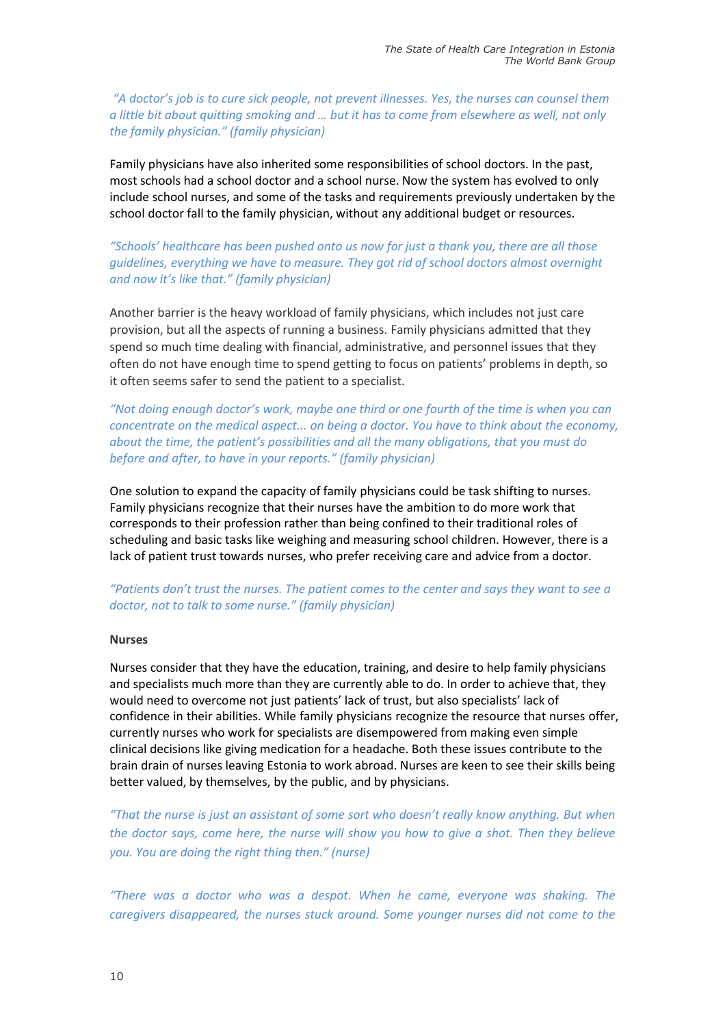*"A doctor's job is to cure sick people, not prevent illnesses. Yes, the nurses can counsel them a little bit about quitting smoking and … but it has to come from elsewhere as well, not only the family physician." (family physician)*

Family physicians have also inherited some responsibilities of school doctors. In the past, most schools had a school doctor and a school nurse. Now the system has evolved to only include school nurses, and some of the tasks and requirements previously undertaken by the school doctor fall to the family physician, without any additional budget or resources.

*"Schools' healthcare has been pushed onto us now for just a thank you, there are all those guidelines, everything we have to measure. They got rid of school doctors almost overnight and now it's like that." (family physician)*

Another barrier is the heavy workload of family physicians, which includes not just care provision, but all the aspects of running a business. Family physicians admitted that they spend so much time dealing with financial, administrative, and personnel issues that they often do not have enough time to spend getting to focus on patients' problems in depth, so it often seems safer to send the patient to a specialist.

*"Not doing enough doctor's work, maybe one third or one fourth of the time is when you can concentrate on the medical aspect... on being a doctor. You have to think about the economy, about the time, the patient's possibilities and all the many obligations, that you must do before and after, to have in your reports." (family physician)* 

One solution to expand the capacity of family physicians could be task shifting to nurses. Family physicians recognize that their nurses have the ambition to do more work that corresponds to their profession rather than being confined to their traditional roles of scheduling and basic tasks like weighing and measuring school children. However, there is a lack of patient trust towards nurses, who prefer receiving care and advice from a doctor.

*"Patients don't trust the nurses. The patient comes to the center and says they want to see a doctor, not to talk to some nurse." (family physician)*

#### **Nurses**

Nurses consider that they have the education, training, and desire to help family physicians and specialists much more than they are currently able to do. In order to achieve that, they would need to overcome not just patients' lack of trust, but also specialists' lack of confidence in their abilities. While family physicians recognize the resource that nurses offer, currently nurses who work for specialists are disempowered from making even simple clinical decisions like giving medication for a headache. Both these issues contribute to the brain drain of nurses leaving Estonia to work abroad. Nurses are keen to see their skills being better valued, by themselves, by the public, and by physicians.

*"That the nurse is just an assistant of some sort who doesn't really know anything. But when the doctor says, come here, the nurse will show you how to give a shot. Then they believe you. You are doing the right thing then." (nurse)*

*"There was a doctor who was a despot. When he came, everyone was shaking. The caregivers disappeared, the nurses stuck around. Some younger nurses did not come to the*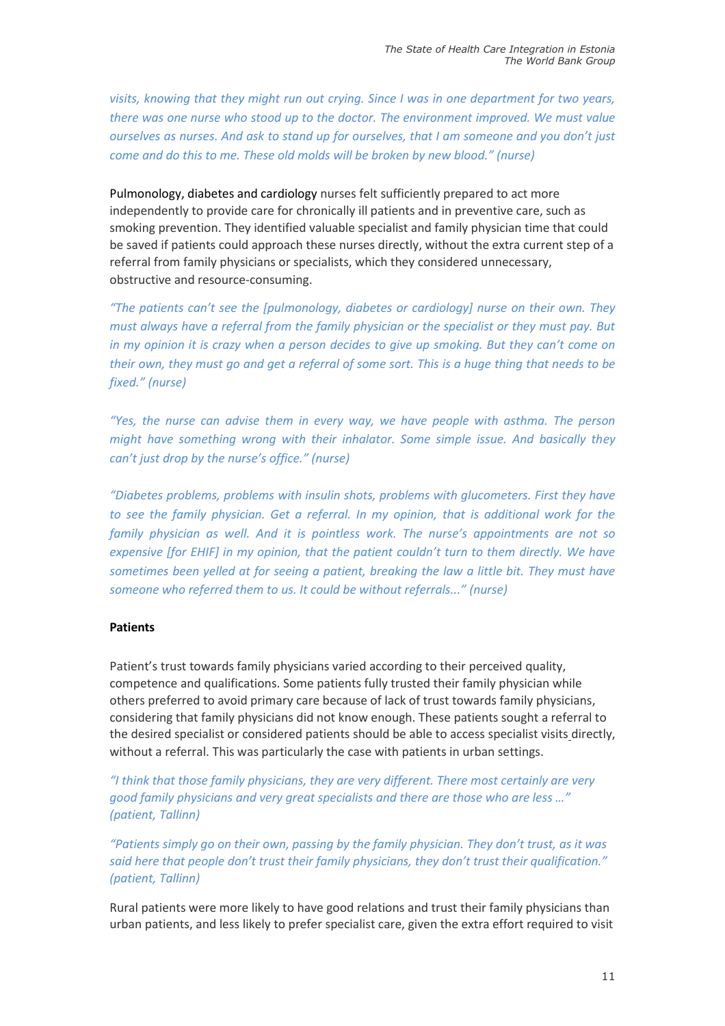*visits, knowing that they might run out crying. Since I was in one department for two years, there was one nurse who stood up to the doctor. The environment improved. We must value ourselves as nurses. And ask to stand up for ourselves, that I am someone and you don't just come and do this to me. These old molds will be broken by new blood." (nurse)*

Pulmonology, diabetes and cardiology nurses felt sufficiently prepared to act more independently to provide care for chronically ill patients and in preventive care, such as smoking prevention. They identified valuable specialist and family physician time that could be saved if patients could approach these nurses directly, without the extra current step of a referral from family physicians or specialists, which they considered unnecessary, obstructive and resource-consuming.

*"The patients can't see the [pulmonology, diabetes or cardiology] nurse on their own. They must always have a referral from the family physician or the specialist or they must pay. But in my opinion it is crazy when a person decides to give up smoking. But they can't come on their own, they must go and get a referral of some sort. This is a huge thing that needs to be fixed." (nurse)*

*"Yes, the nurse can advise them in every way, we have people with asthma. The person might have something wrong with their inhalator. Some simple issue. And basically they can't just drop by the nurse's office." (nurse)*

*"Diabetes problems, problems with insulin shots, problems with glucometers. First they have to see the family physician. Get a referral. In my opinion, that is additional work for the family physician as well. And it is pointless work. The nurse's appointments are not so expensive [for EHIF] in my opinion, that the patient couldn't turn to them directly. We have sometimes been yelled at for seeing a patient, breaking the law a little bit. They must have someone who referred them to us. It could be without referrals..." (nurse)*

## **Patients**

Patient's trust towards family physicians varied according to their perceived quality, competence and qualifications. Some patients fully trusted their family physician while others preferred to avoid primary care because of lack of trust towards family physicians, considering that family physicians did not know enough. These patients sought a referral to the desired specialist or considered patients should be able to access specialist visits directly, without a referral. This was particularly the case with patients in urban settings.

*"I think that those family physicians, they are very different. There most certainly are very good family physicians and very great specialists and there are those who are less …" (patient, Tallinn)*

*"Patients simply go on their own, passing by the family physician. They don't trust, as it was said here that people don't trust their family physicians, they don't trust their qualification." (patient, Tallinn)*

Rural patients were more likely to have good relations and trust their family physicians than urban patients, and less likely to prefer specialist care, given the extra effort required to visit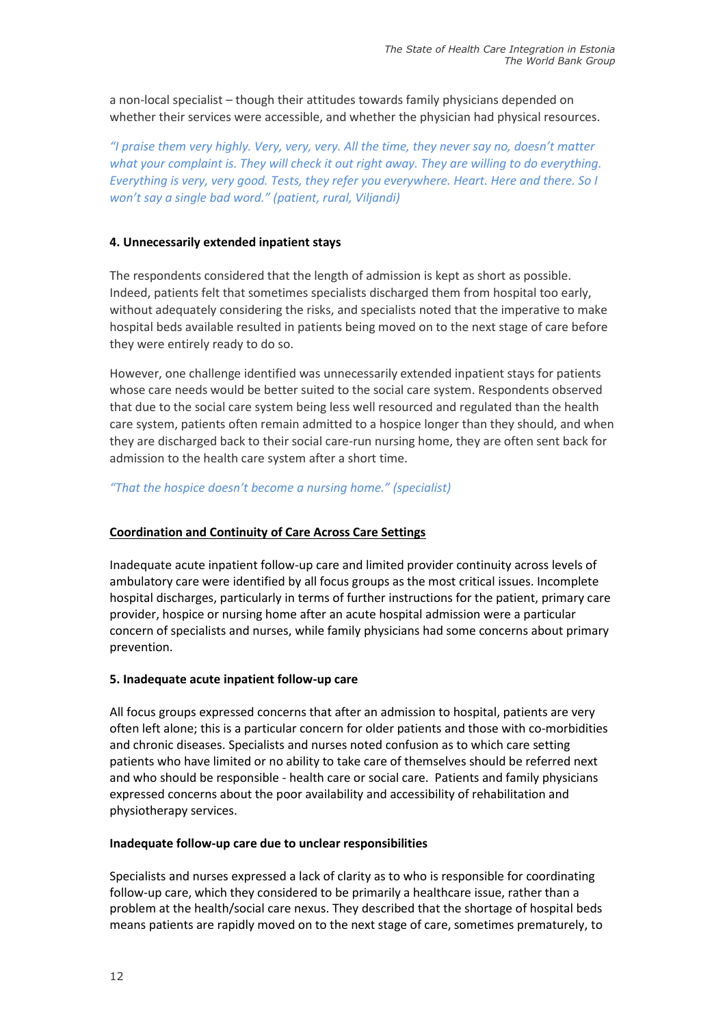a non-local specialist – though their attitudes towards family physicians depended on whether their services were accessible, and whether the physician had physical resources.

*"I praise them very highly. Very, very, very. All the time, they never say no, doesn't matter what your complaint is. They will check it out right away. They are willing to do everything. Everything is very, very good. Tests, they refer you everywhere. Heart. Here and there. So I won't say a single bad word." (patient, rural, Viljandi)*

## **4. Unnecessarily extended inpatient stays**

The respondents considered that the length of admission is kept as short as possible. Indeed, patients felt that sometimes specialists discharged them from hospital too early, without adequately considering the risks, and specialists noted that the imperative to make hospital beds available resulted in patients being moved on to the next stage of care before they were entirely ready to do so.

However, one challenge identified was unnecessarily extended inpatient stays for patients whose care needs would be better suited to the social care system. Respondents observed that due to the social care system being less well resourced and regulated than the health care system, patients often remain admitted to a hospice longer than they should, and when they are discharged back to their social care-run nursing home, they are often sent back for admission to the health care system after a short time.

*"That the hospice doesn't become a nursing home." (specialist)*

## **Coordination and Continuity of Care Across Care Settings**

Inadequate acute inpatient follow-up care and limited provider continuity across levels of ambulatory care were identified by all focus groups as the most critical issues. Incomplete hospital discharges, particularly in terms of further instructions for the patient, primary care provider, hospice or nursing home after an acute hospital admission were a particular concern of specialists and nurses, while family physicians had some concerns about primary prevention.

#### **5. Inadequate acute inpatient follow-up care**

All focus groups expressed concerns that after an admission to hospital, patients are very often left alone; this is a particular concern for older patients and those with co-morbidities and chronic diseases. Specialists and nurses noted confusion as to which care setting patients who have limited or no ability to take care of themselves should be referred next and who should be responsible - health care or social care. Patients and family physicians expressed concerns about the poor availability and accessibility of rehabilitation and physiotherapy services.

#### **Inadequate follow-up care due to unclear responsibilities**

Specialists and nurses expressed a lack of clarity as to who is responsible for coordinating follow-up care, which they considered to be primarily a healthcare issue, rather than a problem at the health/social care nexus. They described that the shortage of hospital beds means patients are rapidly moved on to the next stage of care, sometimes prematurely, to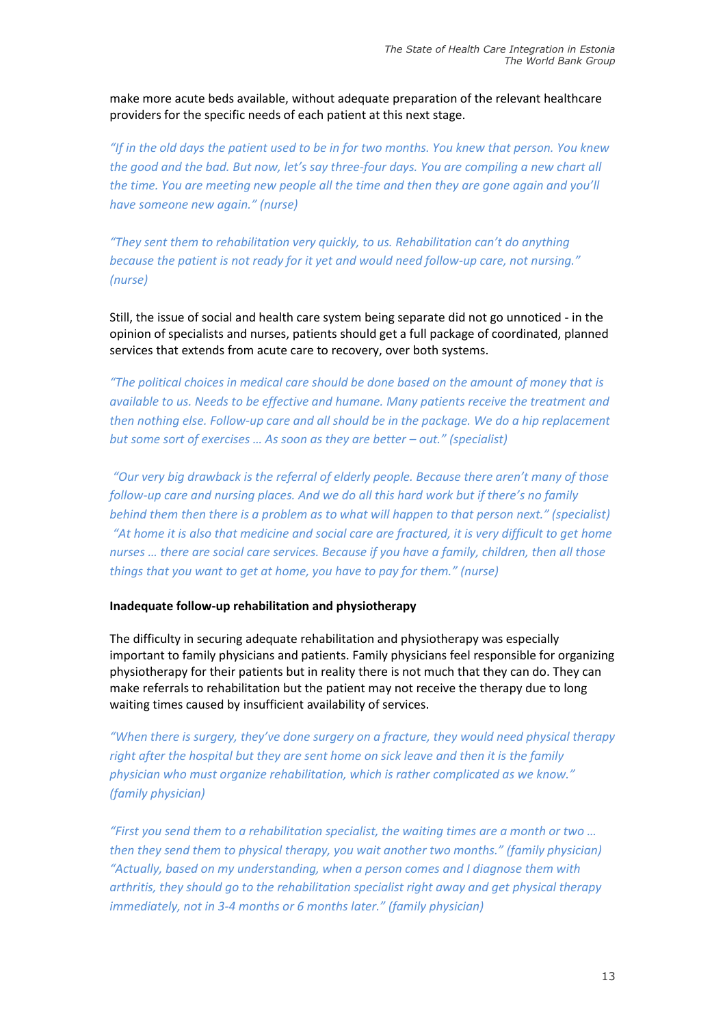make more acute beds available, without adequate preparation of the relevant healthcare providers for the specific needs of each patient at this next stage.

*"If in the old days the patient used to be in for two months. You knew that person. You knew the good and the bad. But now, let's say three-four days. You are compiling a new chart all the time. You are meeting new people all the time and then they are gone again and you'll have someone new again." (nurse)*

*"They sent them to rehabilitation very quickly, to us. Rehabilitation can't do anything because the patient is not ready for it yet and would need follow-up care, not nursing." (nurse)*

Still, the issue of social and health care system being separate did not go unnoticed - in the opinion of specialists and nurses, patients should get a full package of coordinated, planned services that extends from acute care to recovery, over both systems.

*"The political choices in medical care should be done based on the amount of money that is available to us. Needs to be effective and humane. Many patients receive the treatment and then nothing else. Follow-up care and all should be in the package. We do a hip replacement but some sort of exercises … As soon as they are better – out." (specialist)*

*"Our very big drawback is the referral of elderly people. Because there aren't many of those follow-up care and nursing places. And we do all this hard work but if there's no family behind them then there is a problem as to what will happen to that person next." (specialist) "At home it is also that medicine and social care are fractured, it is very difficult to get home nurses … there are social care services. Because if you have a family, children, then all those things that you want to get at home, you have to pay for them." (nurse)*

#### **Inadequate follow-up rehabilitation and physiotherapy**

The difficulty in securing adequate rehabilitation and physiotherapy was especially important to family physicians and patients. Family physicians feel responsible for organizing physiotherapy for their patients but in reality there is not much that they can do. They can make referrals to rehabilitation but the patient may not receive the therapy due to long waiting times caused by insufficient availability of services.

*"When there is surgery, they've done surgery on a fracture, they would need physical therapy right after the hospital but they are sent home on sick leave and then it is the family physician who must organize rehabilitation, which is rather complicated as we know." (family physician)*

*"First you send them to a rehabilitation specialist, the waiting times are a month or two … then they send them to physical therapy, you wait another two months." (family physician) "Actually, based on my understanding, when a person comes and I diagnose them with arthritis, they should go to the rehabilitation specialist right away and get physical therapy immediately, not in 3-4 months or 6 months later." (family physician)*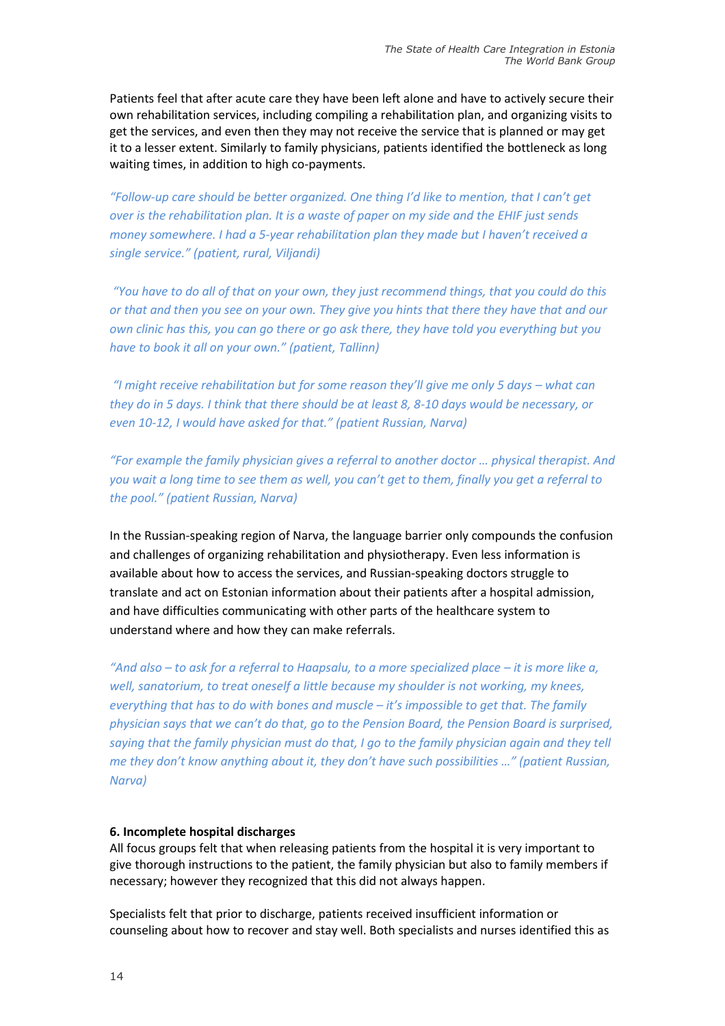Patients feel that after acute care they have been left alone and have to actively secure their own rehabilitation services, including compiling a rehabilitation plan, and organizing visits to get the services, and even then they may not receive the service that is planned or may get it to a lesser extent. Similarly to family physicians, patients identified the bottleneck as long waiting times, in addition to high co-payments.

*"Follow-up care should be better organized. One thing I'd like to mention, that I can't get over is the rehabilitation plan. It is a waste of paper on my side and the EHIF just sends money somewhere. I had a 5-year rehabilitation plan they made but I haven't received a single service." (patient, rural, Viljandi)*

*"You have to do all of that on your own, they just recommend things, that you could do this or that and then you see on your own. They give you hints that there they have that and our own clinic has this, you can go there or go ask there, they have told you everything but you have to book it all on your own." (patient, Tallinn)*

*"I might receive rehabilitation but for some reason they'll give me only 5 days – what can they do in 5 days. I think that there should be at least 8, 8-10 days would be necessary, or even 10-12, I would have asked for that." (patient Russian, Narva)*

*"For example the family physician gives a referral to another doctor … physical therapist. And you wait a long time to see them as well, you can't get to them, finally you get a referral to the pool." (patient Russian, Narva)*

In the Russian-speaking region of Narva, the language barrier only compounds the confusion and challenges of organizing rehabilitation and physiotherapy. Even less information is available about how to access the services, and Russian-speaking doctors struggle to translate and act on Estonian information about their patients after a hospital admission, and have difficulties communicating with other parts of the healthcare system to understand where and how they can make referrals.

*"And also – to ask for a referral to Haapsalu, to a more specialized place – it is more like a, well, sanatorium, to treat oneself a little because my shoulder is not working, my knees, everything that has to do with bones and muscle – it's impossible to get that. The family physician says that we can't do that, go to the Pension Board, the Pension Board is surprised, saying that the family physician must do that, I go to the family physician again and they tell me they don't know anything about it, they don't have such possibilities …" (patient Russian, Narva)*

#### **6. Incomplete hospital discharges**

All focus groups felt that when releasing patients from the hospital it is very important to give thorough instructions to the patient, the family physician but also to family members if necessary; however they recognized that this did not always happen.

Specialists felt that prior to discharge, patients received insufficient information or counseling about how to recover and stay well. Both specialists and nurses identified this as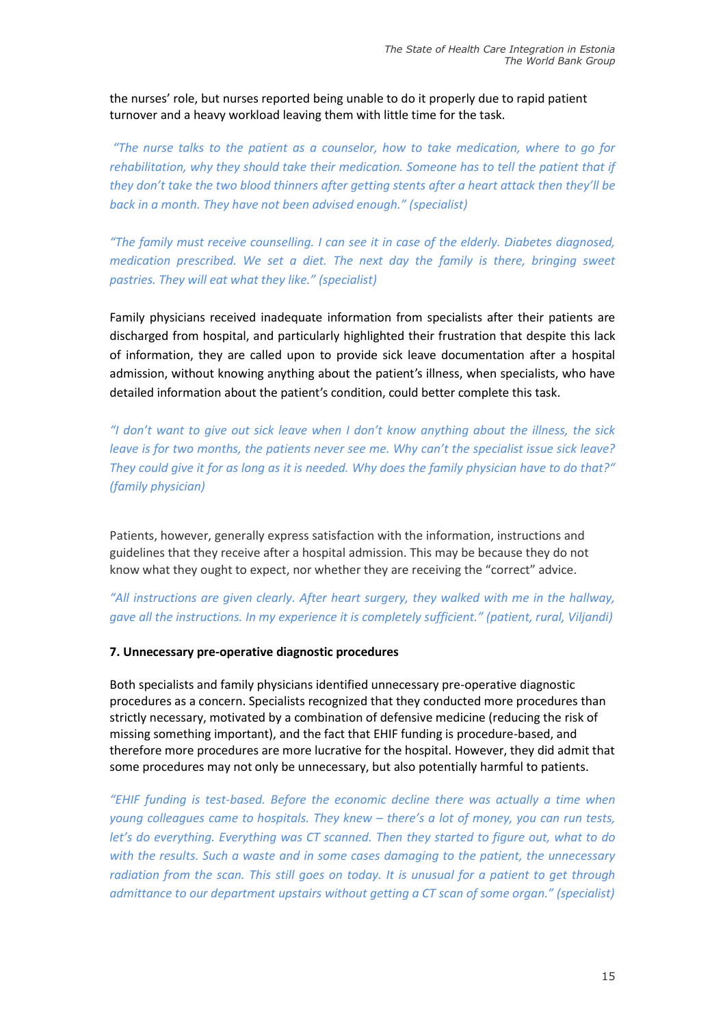the nurses' role, but nurses reported being unable to do it properly due to rapid patient turnover and a heavy workload leaving them with little time for the task.

*"The nurse talks to the patient as a counselor, how to take medication, where to go for rehabilitation, why they should take their medication. Someone has to tell the patient that if they don't take the two blood thinners after getting stents after a heart attack then they'll be back in a month. They have not been advised enough." (specialist)*

*"The family must receive counselling. I can see it in case of the elderly. Diabetes diagnosed, medication prescribed. We set a diet. The next day the family is there, bringing sweet pastries. They will eat what they like." (specialist)*

Family physicians received inadequate information from specialists after their patients are discharged from hospital, and particularly highlighted their frustration that despite this lack of information, they are called upon to provide sick leave documentation after a hospital admission, without knowing anything about the patient's illness, when specialists, who have detailed information about the patient's condition, could better complete this task.

*"I don't want to give out sick leave when I don't know anything about the illness, the sick leave is for two months, the patients never see me. Why can't the specialist issue sick leave? They could give it for as long as it is needed. Why does the family physician have to do that?" (family physician)*

Patients, however, generally express satisfaction with the information, instructions and guidelines that they receive after a hospital admission. This may be because they do not know what they ought to expect, nor whether they are receiving the "correct" advice.

*"All instructions are given clearly. After heart surgery, they walked with me in the hallway, gave all the instructions. In my experience it is completely sufficient." (patient, rural, Viljandi)*

#### **7. Unnecessary pre-operative diagnostic procedures**

Both specialists and family physicians identified unnecessary pre-operative diagnostic procedures as a concern. Specialists recognized that they conducted more procedures than strictly necessary, motivated by a combination of defensive medicine (reducing the risk of missing something important), and the fact that EHIF funding is procedure-based, and therefore more procedures are more lucrative for the hospital. However, they did admit that some procedures may not only be unnecessary, but also potentially harmful to patients.

*"EHIF funding is test-based. Before the economic decline there was actually a time when young colleagues came to hospitals. They knew – there's a lot of money, you can run tests, let's do everything. Everything was CT scanned. Then they started to figure out, what to do with the results. Such a waste and in some cases damaging to the patient, the unnecessary radiation from the scan. This still goes on today. It is unusual for a patient to get through admittance to our department upstairs without getting a CT scan of some organ." (specialist)*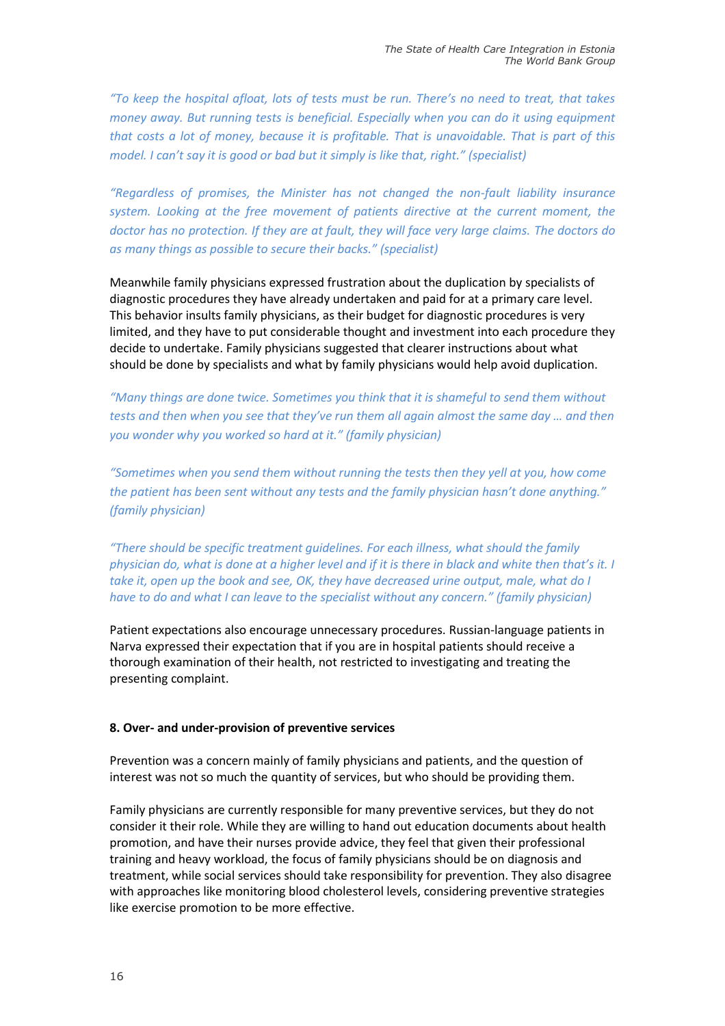*"To keep the hospital afloat, lots of tests must be run. There's no need to treat, that takes money away. But running tests is beneficial. Especially when you can do it using equipment that costs a lot of money, because it is profitable. That is unavoidable. That is part of this model. I can't say it is good or bad but it simply is like that, right." (specialist)*

*"Regardless of promises, the Minister has not changed the non-fault liability insurance system. Looking at the free movement of patients directive at the current moment, the doctor has no protection. If they are at fault, they will face very large claims. The doctors do as many things as possible to secure their backs." (specialist)* 

Meanwhile family physicians expressed frustration about the duplication by specialists of diagnostic procedures they have already undertaken and paid for at a primary care level. This behavior insults family physicians, as their budget for diagnostic procedures is very limited, and they have to put considerable thought and investment into each procedure they decide to undertake. Family physicians suggested that clearer instructions about what should be done by specialists and what by family physicians would help avoid duplication.

*"Many things are done twice. Sometimes you think that it is shameful to send them without tests and then when you see that they've run them all again almost the same day … and then you wonder why you worked so hard at it." (family physician)* 

*"Sometimes when you send them without running the tests then they yell at you, how come the patient has been sent without any tests and the family physician hasn't done anything." (family physician)*

*"There should be specific treatment guidelines. For each illness, what should the family physician do, what is done at a higher level and if it is there in black and white then that's it. I take it, open up the book and see, OK, they have decreased urine output, male, what do I have to do and what I can leave to the specialist without any concern." (family physician)*

Patient expectations also encourage unnecessary procedures. Russian-language patients in Narva expressed their expectation that if you are in hospital patients should receive a thorough examination of their health, not restricted to investigating and treating the presenting complaint.

#### **8. Over- and under-provision of preventive services**

Prevention was a concern mainly of family physicians and patients, and the question of interest was not so much the quantity of services, but who should be providing them.

Family physicians are currently responsible for many preventive services, but they do not consider it their role. While they are willing to hand out education documents about health promotion, and have their nurses provide advice, they feel that given their professional training and heavy workload, the focus of family physicians should be on diagnosis and treatment, while social services should take responsibility for prevention. They also disagree with approaches like monitoring blood cholesterol levels, considering preventive strategies like exercise promotion to be more effective.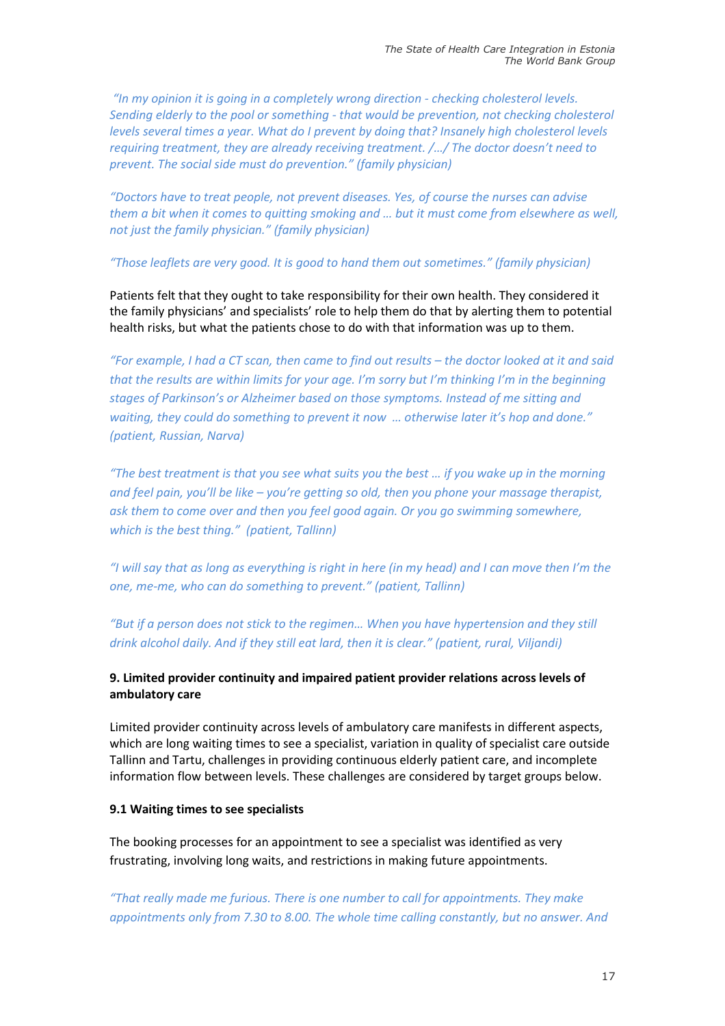*"In my opinion it is going in a completely wrong direction - checking cholesterol levels. Sending elderly to the pool or something - that would be prevention, not checking cholesterol levels several times a year. What do I prevent by doing that? Insanely high cholesterol levels requiring treatment, they are already receiving treatment. /…/ The doctor doesn't need to prevent. The social side must do prevention." (family physician)*

*"Doctors have to treat people, not prevent diseases. Yes, of course the nurses can advise them a bit when it comes to quitting smoking and … but it must come from elsewhere as well, not just the family physician." (family physician)*

### *"Those leaflets are very good. It is good to hand them out sometimes." (family physician)*

Patients felt that they ought to take responsibility for their own health. They considered it the family physicians' and specialists' role to help them do that by alerting them to potential health risks, but what the patients chose to do with that information was up to them.

*"For example, I had a CT scan, then came to find out results – the doctor looked at it and said that the results are within limits for your age. I'm sorry but I'm thinking I'm in the beginning stages of Parkinson's or Alzheimer based on those symptoms. Instead of me sitting and waiting, they could do something to prevent it now … otherwise later it's hop and done." (patient, Russian, Narva)*

*"The best treatment is that you see what suits you the best … if you wake up in the morning and feel pain, you'll be like – you're getting so old, then you phone your massage therapist, ask them to come over and then you feel good again. Or you go swimming somewhere, which is the best thing." (patient, Tallinn)*

*"I will say that as long as everything is right in here (in my head) and I can move then I'm the one, me-me, who can do something to prevent." (patient, Tallinn)*

*"But if a person does not stick to the regimen… When you have hypertension and they still drink alcohol daily. And if they still eat lard, then it is clear." (patient, rural, Viljandi)*

## **9. Limited provider continuity and impaired patient provider relations across levels of ambulatory care**

Limited provider continuity across levels of ambulatory care manifests in different aspects, which are long waiting times to see a specialist, variation in quality of specialist care outside Tallinn and Tartu, challenges in providing continuous elderly patient care, and incomplete information flow between levels. These challenges are considered by target groups below.

## **9.1 Waiting times to see specialists**

The booking processes for an appointment to see a specialist was identified as very frustrating, involving long waits, and restrictions in making future appointments.

*"That really made me furious. There is one number to call for appointments. They make appointments only from 7.30 to 8.00. The whole time calling constantly, but no answer. And*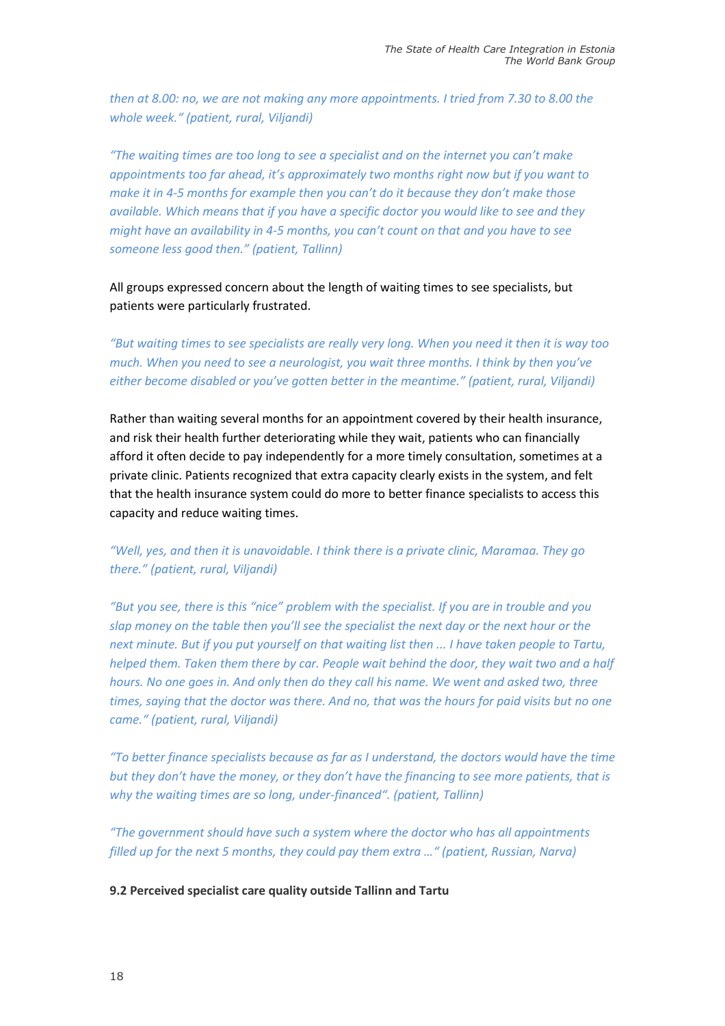*then at 8.00: no, we are not making any more appointments. I tried from 7.30 to 8.00 the whole week." (patient, rural, Viljandi)*

*"The waiting times are too long to see a specialist and on the internet you can't make appointments too far ahead, it's approximately two months right now but if you want to make it in 4-5 months for example then you can't do it because they don't make those available. Which means that if you have a specific doctor you would like to see and they might have an availability in 4-5 months, you can't count on that and you have to see someone less good then." (patient, Tallinn)*

All groups expressed concern about the length of waiting times to see specialists, but patients were particularly frustrated.

*"But waiting times to see specialists are really very long. When you need it then it is way too much. When you need to see a neurologist, you wait three months. I think by then you've either become disabled or you've gotten better in the meantime." (patient, rural, Viljandi)*

Rather than waiting several months for an appointment covered by their health insurance, and risk their health further deteriorating while they wait, patients who can financially afford it often decide to pay independently for a more timely consultation, sometimes at a private clinic. Patients recognized that extra capacity clearly exists in the system, and felt that the health insurance system could do more to better finance specialists to access this capacity and reduce waiting times.

## *"Well, yes, and then it is unavoidable. I think there is a private clinic, Maramaa. They go there." (patient, rural, Viljandi)*

*"But you see, there is this "nice" problem with the specialist. If you are in trouble and you slap money on the table then you'll see the specialist the next day or the next hour or the next minute. But if you put yourself on that waiting list then ... I have taken people to Tartu, helped them. Taken them there by car. People wait behind the door, they wait two and a half hours. No one goes in. And only then do they call his name. We went and asked two, three times, saying that the doctor was there. And no, that was the hours for paid visits but no one came." (patient, rural, Viljandi)*

*"To better finance specialists because as far as I understand, the doctors would have the time but they don't have the money, or they don't have the financing to see more patients, that is why the waiting times are so long, under-financed". (patient, Tallinn)*

*"The government should have such a system where the doctor who has all appointments filled up for the next 5 months, they could pay them extra …" (patient, Russian, Narva)*

## **9.2 Perceived specialist care quality outside Tallinn and Tartu**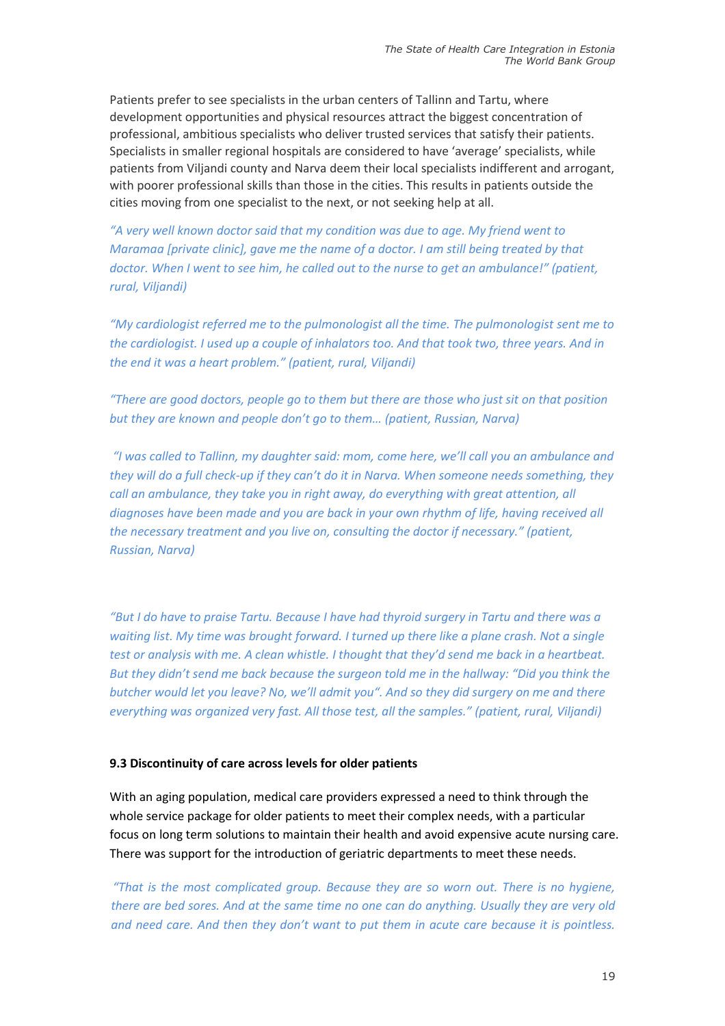Patients prefer to see specialists in the urban centers of Tallinn and Tartu, where development opportunities and physical resources attract the biggest concentration of professional, ambitious specialists who deliver trusted services that satisfy their patients. Specialists in smaller regional hospitals are considered to have 'average' specialists, while patients from Viljandi county and Narva deem their local specialists indifferent and arrogant, with poorer professional skills than those in the cities. This results in patients outside the cities moving from one specialist to the next, or not seeking help at all.

*"A very well known doctor said that my condition was due to age. My friend went to Maramaa [private clinic], gave me the name of a doctor. I am still being treated by that doctor. When I went to see him, he called out to the nurse to get an ambulance!" (patient, rural, Viljandi)*

*"My cardiologist referred me to the pulmonologist all the time. The pulmonologist sent me to the cardiologist. I used up a couple of inhalators too. And that took two, three years. And in the end it was a heart problem." (patient, rural, Viljandi)*

*"There are good doctors, people go to them but there are those who just sit on that position but they are known and people don't go to them… (patient, Russian, Narva)*

*"I was called to Tallinn, my daughter said: mom, come here, we'll call you an ambulance and they will do a full check-up if they can't do it in Narva. When someone needs something, they call an ambulance, they take you in right away, do everything with great attention, all diagnoses have been made and you are back in your own rhythm of life, having received all the necessary treatment and you live on, consulting the doctor if necessary." (patient, Russian, Narva)*

*"But I do have to praise Tartu. Because I have had thyroid surgery in Tartu and there was a waiting list. My time was brought forward. I turned up there like a plane crash. Not a single test or analysis with me. A clean whistle. I thought that they'd send me back in a heartbeat. But they didn't send me back because the surgeon told me in the hallway: "Did you think the butcher would let you leave? No, we'll admit you". And so they did surgery on me and there everything was organized very fast. All those test, all the samples." (patient, rural, Viljandi)*

#### **9.3 Discontinuity of care across levels for older patients**

With an aging population, medical care providers expressed a need to think through the whole service package for older patients to meet their complex needs, with a particular focus on long term solutions to maintain their health and avoid expensive acute nursing care. There was support for the introduction of geriatric departments to meet these needs.

*"That is the most complicated group. Because they are so worn out. There is no hygiene, there are bed sores. And at the same time no one can do anything. Usually they are very old and need care. And then they don't want to put them in acute care because it is pointless.*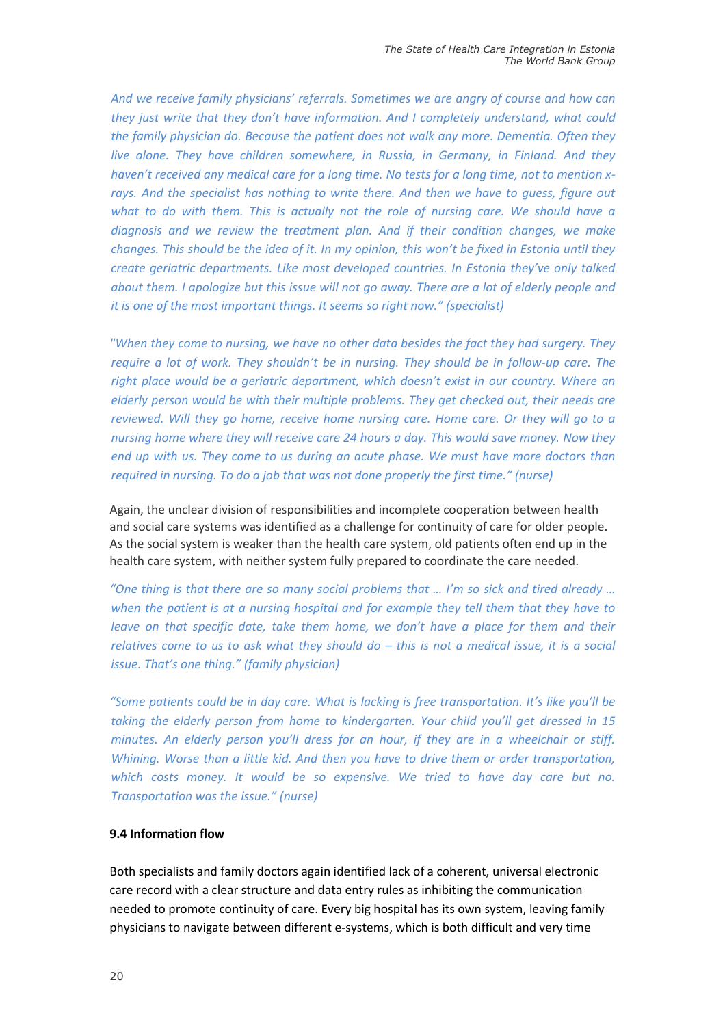*And we receive family physicians' referrals. Sometimes we are angry of course and how can they just write that they don't have information. And I completely understand, what could the family physician do. Because the patient does not walk any more. Dementia. Often they live alone. They have children somewhere, in Russia, in Germany, in Finland. And they haven't received any medical care for a long time. No tests for a long time, not to mention xrays. And the specialist has nothing to write there. And then we have to guess, figure out*  what to do with them. This is actually not the role of nursing care. We should have a *diagnosis and we review the treatment plan. And if their condition changes, we make changes. This should be the idea of it. In my opinion, this won't be fixed in Estonia until they create geriatric departments. Like most developed countries. In Estonia they've only talked about them. I apologize but this issue will not go away. There are a lot of elderly people and it is one of the most important things. It seems so right now." (specialist)*

*"When they come to nursing, we have no other data besides the fact they had surgery. They require a lot of work. They shouldn't be in nursing. They should be in follow-up care. The right place would be a geriatric department, which doesn't exist in our country. Where an elderly person would be with their multiple problems. They get checked out, their needs are reviewed. Will they go home, receive home nursing care. Home care. Or they will go to a nursing home where they will receive care 24 hours a day. This would save money. Now they end up with us. They come to us during an acute phase. We must have more doctors than required in nursing. To do a job that was not done properly the first time." (nurse)*

Again, the unclear division of responsibilities and incomplete cooperation between health and social care systems was identified as a challenge for continuity of care for older people. As the social system is weaker than the health care system, old patients often end up in the health care system, with neither system fully prepared to coordinate the care needed.

*"One thing is that there are so many social problems that … I'm so sick and tired already … when the patient is at a nursing hospital and for example they tell them that they have to leave on that specific date, take them home, we don't have a place for them and their relatives come to us to ask what they should do – this is not a medical issue, it is a social issue. That's one thing." (family physician)*

*"Some patients could be in day care. What is lacking is free transportation. It's like you'll be taking the elderly person from home to kindergarten. Your child you'll get dressed in 15 minutes. An elderly person you'll dress for an hour, if they are in a wheelchair or stiff. Whining. Worse than a little kid. And then you have to drive them or order transportation,*  which costs money. It would be so expensive. We tried to have day care but no. *Transportation was the issue." (nurse)*

### **9.4 Information flow**

Both specialists and family doctors again identified lack of a coherent, universal electronic care record with a clear structure and data entry rules as inhibiting the communication needed to promote continuity of care. Every big hospital has its own system, leaving family physicians to navigate between different e-systems, which is both difficult and very time